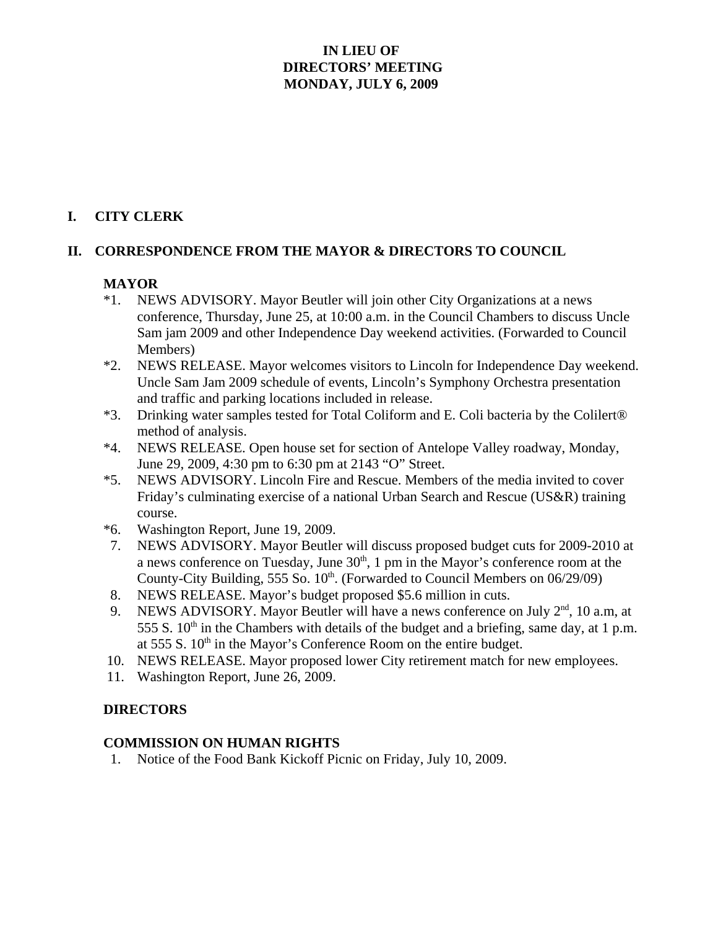# **IN LIEU OF DIRECTORS' MEETING MONDAY, JULY 6, 2009**

# **I. CITY CLERK**

## **II. CORRESPONDENCE FROM THE MAYOR & DIRECTORS TO COUNCIL**

## **MAYOR**

- \*1. NEWS ADVISORY. Mayor Beutler will join other City Organizations at a news conference, Thursday, June 25, at 10:00 a.m. in the Council Chambers to discuss Uncle Sam jam 2009 and other Independence Day weekend activities. (Forwarded to Council Members)
- \*2. NEWS RELEASE. Mayor welcomes visitors to Lincoln for Independence Day weekend. Uncle Sam Jam 2009 schedule of events, Lincoln's Symphony Orchestra presentation and traffic and parking locations included in release.
- \*3. Drinking water samples tested for Total Coliform and E. Coli bacteria by the Colilert® method of analysis.
- \*4. NEWS RELEASE. Open house set for section of Antelope Valley roadway, Monday, June 29, 2009, 4:30 pm to 6:30 pm at 2143 "O" Street.
- \*5. NEWS ADVISORY. Lincoln Fire and Rescue. Members of the media invited to cover Friday's culminating exercise of a national Urban Search and Rescue (US&R) training course.
- \*6. Washington Report, June 19, 2009.
- 7. NEWS ADVISORY. Mayor Beutler will discuss proposed budget cuts for 2009-2010 at a news conference on Tuesday, June  $30<sup>th</sup>$ , 1 pm in the Mayor's conference room at the County-City Building, 555 So.  $10^{th}$ . (Forwarded to Council Members on 06/29/09)
- 8. NEWS RELEASE. Mayor's budget proposed \$5.6 million in cuts.
- 9. NEWS ADVISORY. Mayor Beutler will have a news conference on July  $2<sup>nd</sup>$ , 10 a.m, at 555 S.  $10<sup>th</sup>$  in the Chambers with details of the budget and a briefing, same day, at 1 p.m. at 555 S.  $10<sup>th</sup>$  in the Mayor's Conference Room on the entire budget.
- 10. NEWS RELEASE. Mayor proposed lower City retirement match for new employees.
- 11. Washington Report, June 26, 2009.

#### **DIRECTORS**

#### **COMMISSION ON HUMAN RIGHTS**

1. Notice of the Food Bank Kickoff Picnic on Friday, July 10, 2009.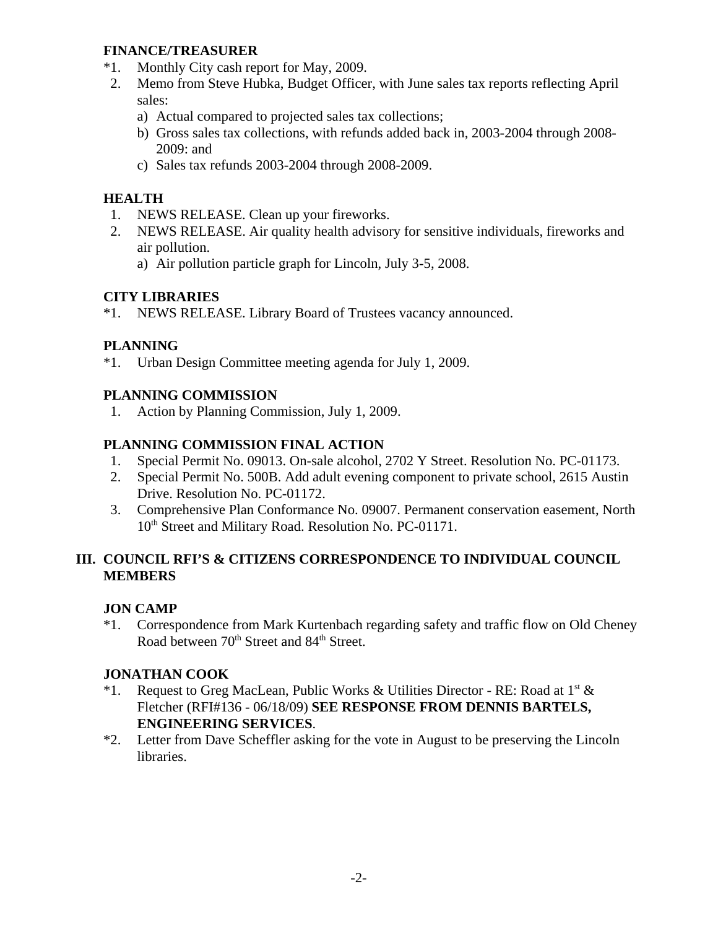#### **FINANCE/TREASURER**

- \*1. Monthly City cash report for May, 2009.
- 2. Memo from Steve Hubka, Budget Officer, with June sales tax reports reflecting April sales:
	- a) Actual compared to projected sales tax collections;
	- b) Gross sales tax collections, with refunds added back in, 2003-2004 through 2008- 2009: and
	- c) Sales tax refunds 2003-2004 through 2008-2009.

#### **HEALTH**

- 1. NEWS RELEASE. Clean up your fireworks.
- 2. NEWS RELEASE. Air quality health advisory for sensitive individuals, fireworks and air pollution.
	- a) Air pollution particle graph for Lincoln, July 3-5, 2008.

#### **CITY LIBRARIES**

\*1. NEWS RELEASE. Library Board of Trustees vacancy announced.

#### **PLANNING**

\*1. Urban Design Committee meeting agenda for July 1, 2009.

#### **PLANNING COMMISSION**

1. Action by Planning Commission, July 1, 2009.

### **PLANNING COMMISSION FINAL ACTION**

- 1. Special Permit No. 09013. On-sale alcohol, 2702 Y Street. Resolution No. PC-01173.
- 2. Special Permit No. 500B. Add adult evening component to private school, 2615 Austin Drive. Resolution No. PC-01172.
- 3. Comprehensive Plan Conformance No. 09007. Permanent conservation easement, North 10<sup>th</sup> Street and Military Road. Resolution No. PC-01171.

#### **III. COUNCIL RFI'S & CITIZENS CORRESPONDENCE TO INDIVIDUAL COUNCIL MEMBERS**

### **JON CAMP**

\*1. Correspondence from Mark Kurtenbach regarding safety and traffic flow on Old Cheney Road between 70<sup>th</sup> Street and 84<sup>th</sup> Street.

#### **JONATHAN COOK**

- \*1. Request to Greg MacLean, Public Works & Utilities Director RE: Road at  $1^{st}$  & Fletcher (RFI#136 - 06/18/09) **SEE RESPONSE FROM DENNIS BARTELS, ENGINEERING SERVICES**.
- \*2. Letter from Dave Scheffler asking for the vote in August to be preserving the Lincoln libraries.